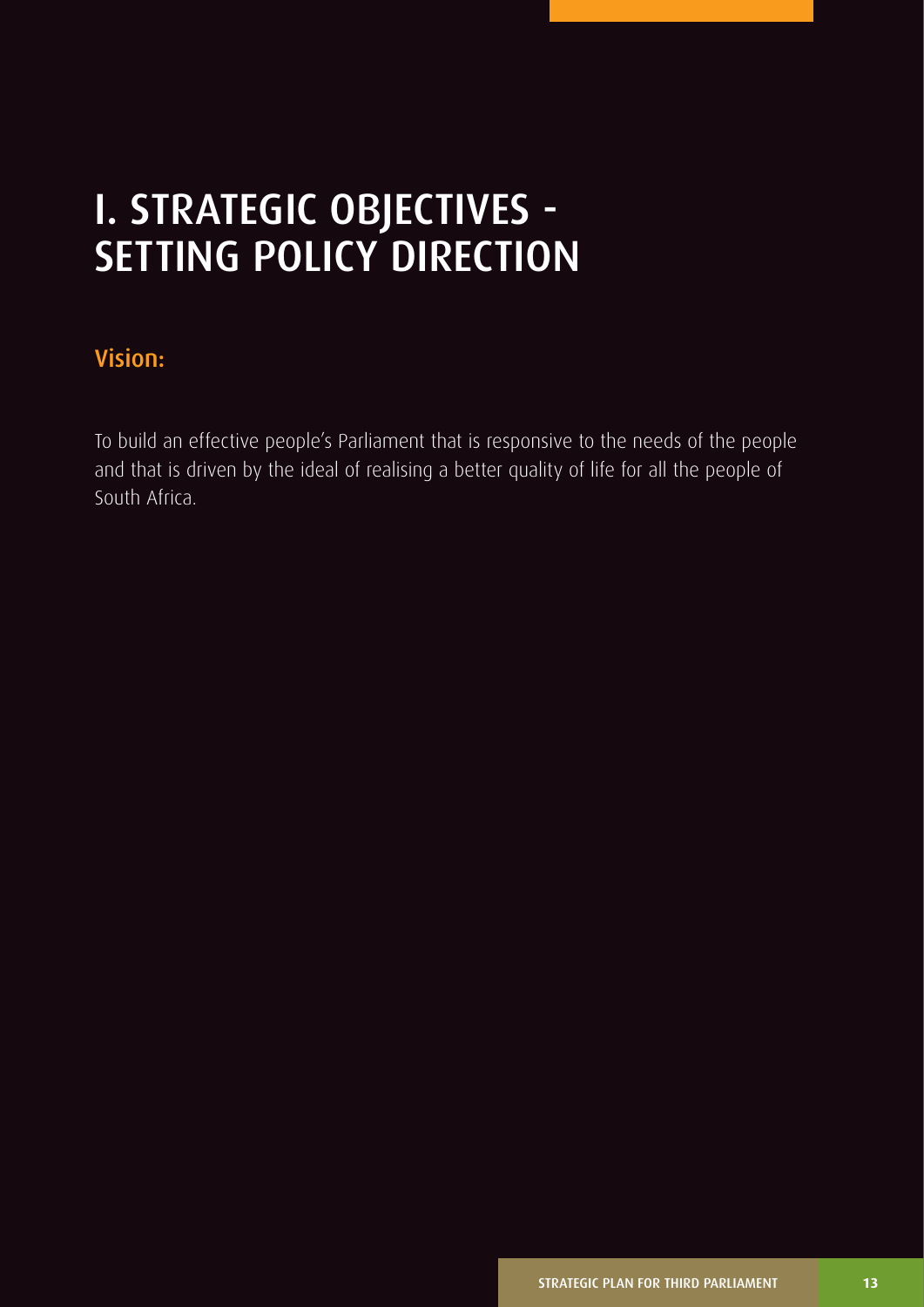# I. STRATEGIC OBJECTIVES - SETTING POLICY DIRECTION

## Vision:

To build an effective people's Parliament that is responsive to the needs of the people and that is driven by the ideal of realising a better quality of life for all the people of South Africa.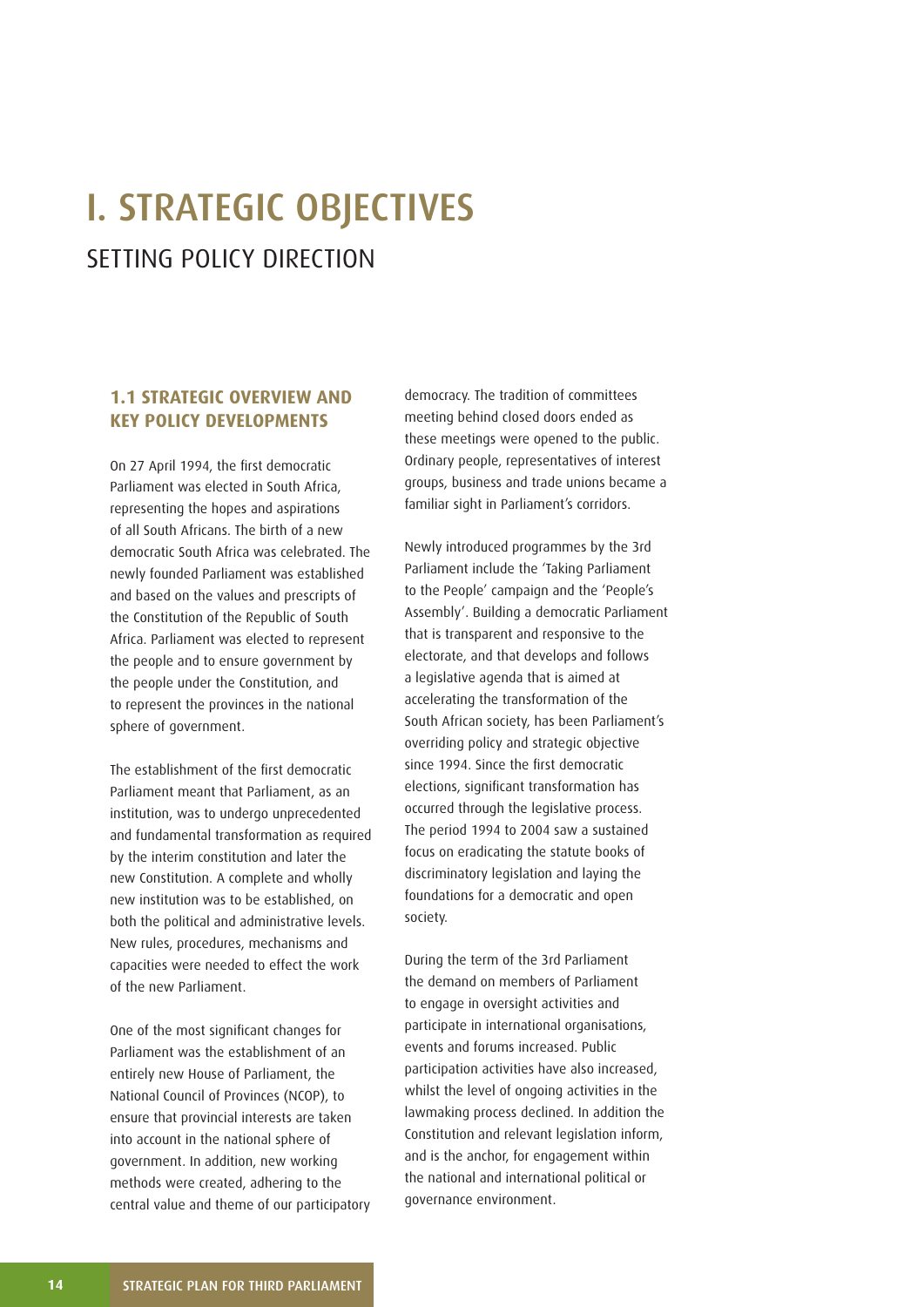# I. STRATEGIC OBJECTIVES SETTING POLICY DIRECTION

## **1.1 STRATEGIC OVERVIEW AND KEY POLICY DEVELOPMENTS**

On 27 April 1994, the first democratic Parliament was elected in South Africa, representing the hopes and aspirations of all South Africans. The birth of a new democratic South Africa was celebrated. The newly founded Parliament was established and based on the values and prescripts of the Constitution of the Republic of South Africa. Parliament was elected to represent the people and to ensure government by the people under the Constitution, and to represent the provinces in the national sphere of government.

The establishment of the first democratic Parliament meant that Parliament, as an institution, was to undergo unprecedented and fundamental transformation as required by the interim constitution and later the new Constitution. A complete and wholly new institution was to be established, on both the political and administrative levels. New rules, procedures, mechanisms and capacities were needed to effect the work of the new Parliament.

One of the most significant changes for Parliament was the establishment of an entirely new House of Parliament, the National Council of Provinces (NCOP), to ensure that provincial interests are taken into account in the national sphere of government. In addition, new working methods were created, adhering to the central value and theme of our participatory democracy. The tradition of committees meeting behind closed doors ended as these meetings were opened to the public. Ordinary people, representatives of interest groups, business and trade unions became a familiar sight in Parliament's corridors.

Newly introduced programmes by the 3rd Parliament include the 'Taking Parliament to the People' campaign and the 'People's Assembly'. Building a democratic Parliament that is transparent and responsive to the electorate, and that develops and follows a legislative agenda that is aimed at accelerating the transformation of the South African society, has been Parliament's overriding policy and strategic objective since 1994. Since the first democratic elections, significant transformation has occurred through the legislative process. The period 1994 to 2004 saw a sustained focus on eradicating the statute books of discriminatory legislation and laying the foundations for a democratic and open society.

During the term of the 3rd Parliament the demand on members of Parliament to engage in oversight activities and participate in international organisations, events and forums increased. Public participation activities have also increased, whilst the level of ongoing activities in the lawmaking process declined. In addition the Constitution and relevant legislation inform, and is the anchor, for engagement within the national and international political or governance environment.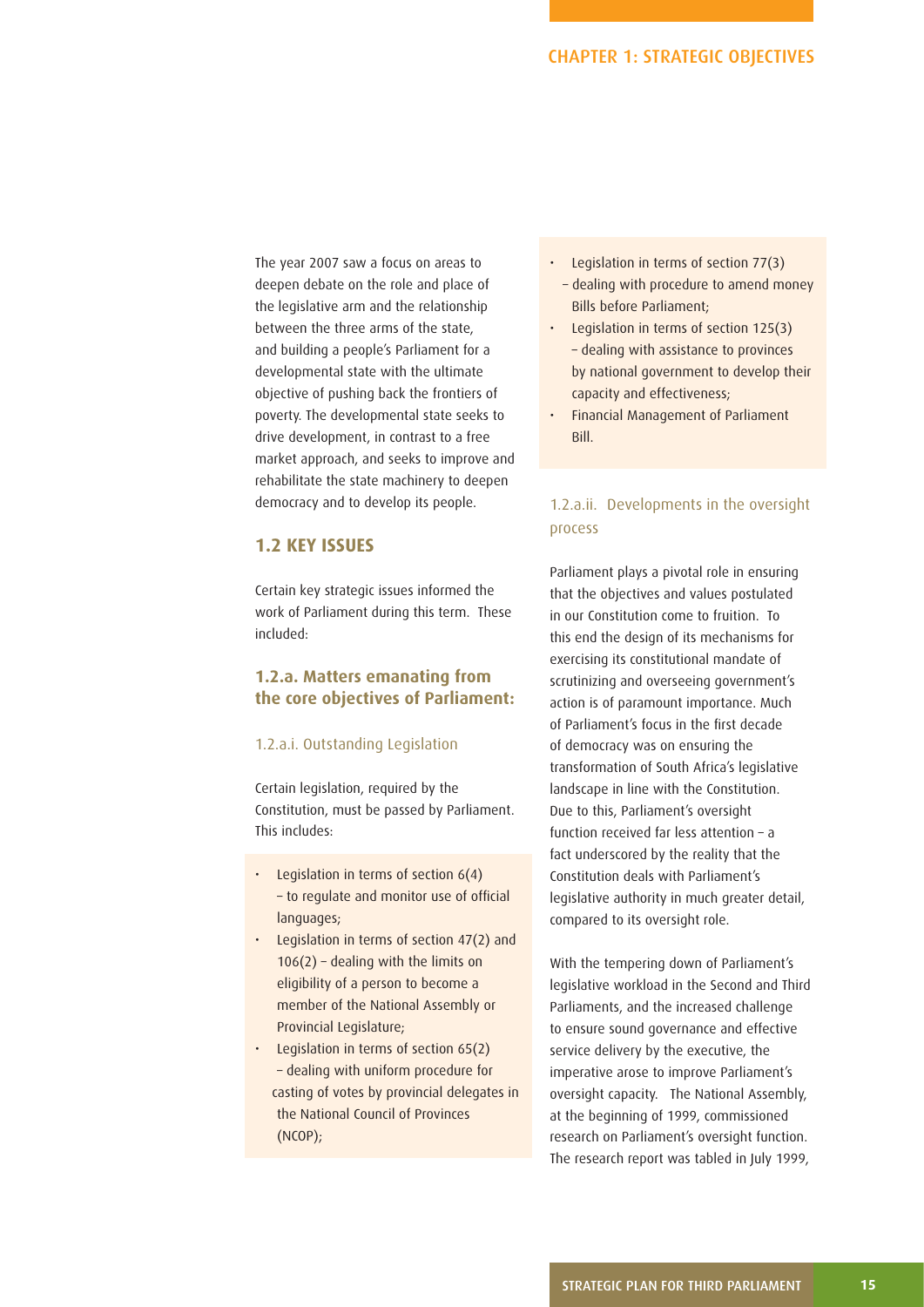The year 2007 saw a focus on areas to deepen debate on the role and place of the legislative arm and the relationship between the three arms of the state, and building a people's Parliament for a developmental state with the ultimate objective of pushing back the frontiers of poverty. The developmental state seeks to drive development, in contrast to a free market approach, and seeks to improve and rehabilitate the state machinery to deepen democracy and to develop its people.

#### **1.2 KEY ISSUES**

Certain key strategic issues informed the work of Parliament during this term. These included:

### **1.2.a. Matters emanating from the core objectives of Parliament:**

#### 1.2.a.i. Outstanding Legislation

Certain legislation, required by the Constitution, must be passed by Parliament. This includes:

- Legislation in terms of section  $6(4)$ - to regulate and monitor use of official languages;
- Legislation in terms of section 47(2) and  $106(2)$  – dealing with the limits on eligibility of a person to become a member of the National Assembly or Provincial Legislature;
- Legislation in terms of section 65(2) – dealing with uniform procedure for casting of votes by provincial delegates in the National Council of Provinces (NCOP);
- Legislation in terms of section 77(3)
- dealing with procedure to amend money Bills before Parliament;
- Legislation in terms of section 125(3) – dealing with assistance to provinces by national government to develop their capacity and effectiveness;
- Financial Management of Parliament Bill.

## 1.2.a.ii. Developments in the oversight process

Parliament plays a pivotal role in ensuring that the objectives and values postulated in our Constitution come to fruition. To this end the design of its mechanisms for exercising its constitutional mandate of scrutinizing and overseeing government's action is of paramount importance. Much of Parliament's focus in the first decade of democracy was on ensuring the transformation of South Africa's legislative landscape in line with the Constitution. Due to this, Parliament's oversight function received far less attention – a fact underscored by the reality that the Constitution deals with Parliament's legislative authority in much greater detail, compared to its oversight role.

With the tempering down of Parliament's legislative workload in the Second and Third Parliaments, and the increased challenge to ensure sound governance and effective service delivery by the executive, the imperative arose to improve Parliament's oversight capacity. The National Assembly, at the beginning of 1999, commissioned research on Parliament's oversight function. The research report was tabled in July 1999,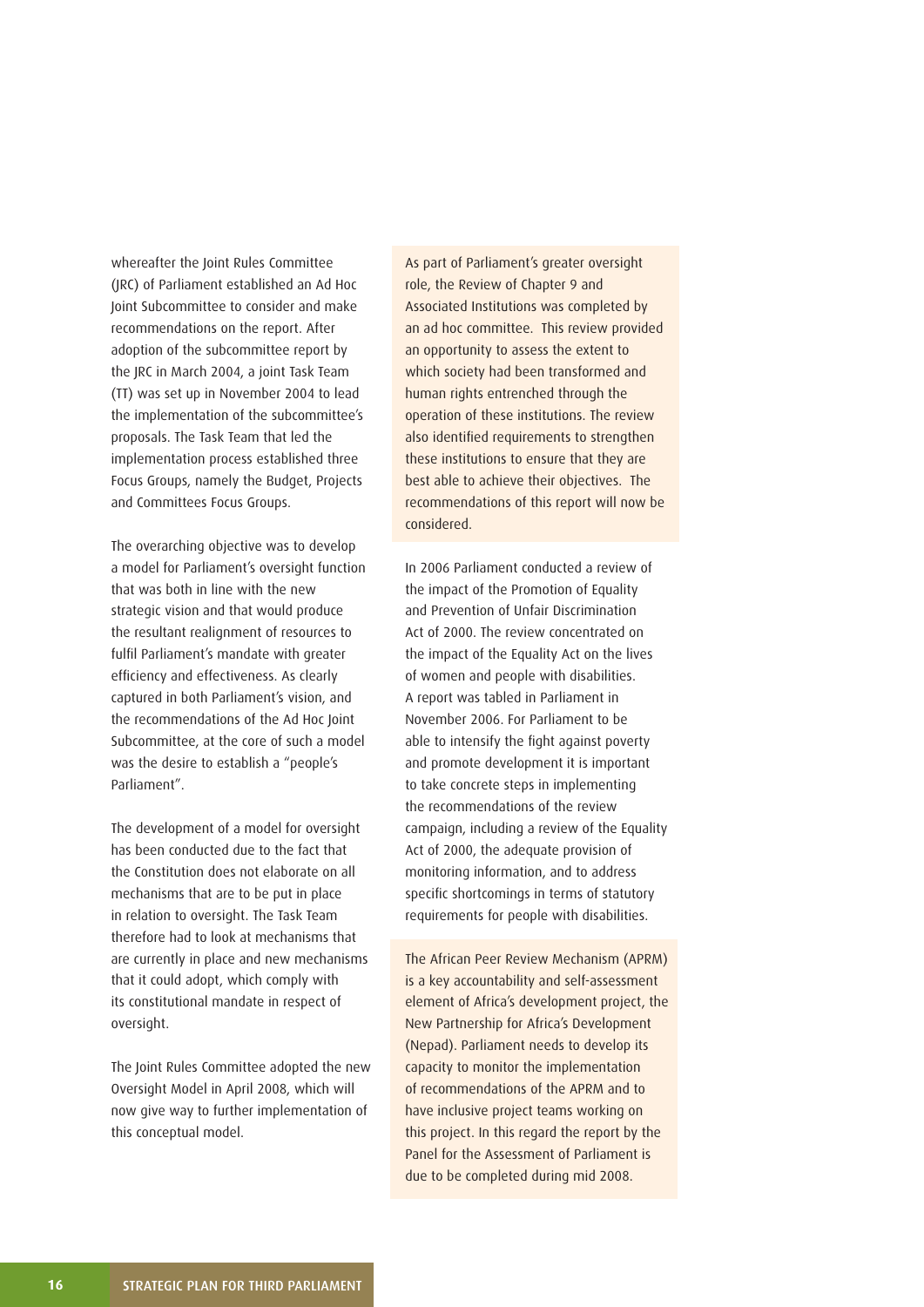whereafter the Joint Rules Committee (JRC) of Parliament established an Ad Hoc Joint Subcommittee to consider and make recommendations on the report. After adoption of the subcommittee report by the JRC in March 2004, a joint Task Team (TT) was set up in November 2004 to lead the implementation of the subcommittee's proposals. The Task Team that led the implementation process established three Focus Groups, namely the Budget, Projects and Committees Focus Groups.

The overarching objective was to develop a model for Parliament's oversight function that was both in line with the new strategic vision and that would produce the resultant realignment of resources to fulfil Parliament's mandate with greater efficiency and effectiveness. As clearly captured in both Parliament's vision, and the recommendations of the Ad Hoc Joint Subcommittee, at the core of such a model was the desire to establish a "people's Parliament".

The development of a model for oversight has been conducted due to the fact that the Constitution does not elaborate on all mechanisms that are to be put in place in relation to oversight. The Task Team therefore had to look at mechanisms that are currently in place and new mechanisms that it could adopt, which comply with its constitutional mandate in respect of oversight.

The Joint Rules Committee adopted the new Oversight Model in April 2008, which will now give way to further implementation of this conceptual model.

As part of Parliament's greater oversight role, the Review of Chapter 9 and Associated Institutions was completed by an ad hoc committee. This review provided an opportunity to assess the extent to which society had been transformed and human rights entrenched through the operation of these institutions. The review also identified requirements to strengthen these institutions to ensure that they are best able to achieve their objectives. The recommendations of this report will now be considered.

In 2006 Parliament conducted a review of the impact of the Promotion of Equality and Prevention of Unfair Discrimination Act of 2000. The review concentrated on the impact of the Equality Act on the lives of women and people with disabilities. A report was tabled in Parliament in November 2006. For Parliament to be able to intensify the fight against poverty and promote development it is important to take concrete steps in implementing the recommendations of the review campaign, including a review of the Equality Act of 2000, the adequate provision of monitoring information, and to address specific shortcomings in terms of statutory requirements for people with disabilities.

The African Peer Review Mechanism (APRM) is a key accountability and self-assessment element of Africa's development project, the New Partnership for Africa's Development (Nepad). Parliament needs to develop its capacity to monitor the implementation of recommendations of the APRM and to have inclusive project teams working on this project. In this regard the report by the Panel for the Assessment of Parliament is due to be completed during mid 2008.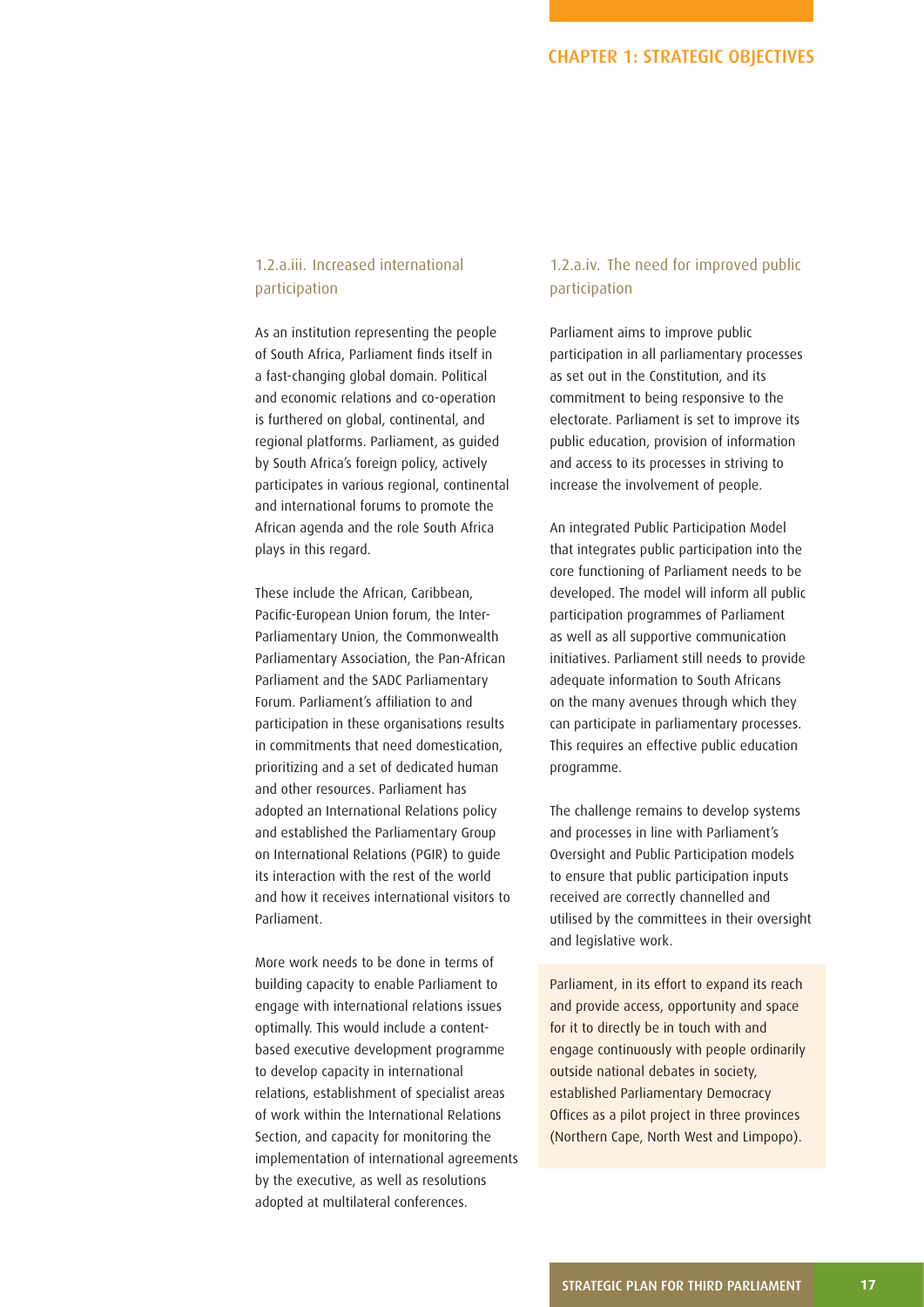## 1.2.a.iii. Increased international participation

As an institution representing the people of South Africa, Parliament finds itself in a fast-changing global domain. Political and economic relations and co-operation is furthered on global, continental, and regional platforms. Parliament, as guided by South Africa's foreign policy, actively participates in various regional, continental and international forums to promote the African agenda and the role South Africa plays in this regard.

These include the African, Caribbean, Pacific-European Union forum, the Inter-Parliamentary Union, the Commonwealth Parliamentary Association, the Pan-African Parliament and the SADC Parliamentary Forum. Parliament's affiliation to and participation in these organisations results in commitments that need domestication, prioritizing and a set of dedicated human and other resources. Parliament has adopted an International Relations policy and established the Parliamentary Group on International Relations (PGIR) to guide its interaction with the rest of the world and how it receives international visitors to Parliament.

More work needs to be done in terms of building capacity to enable Parliament to engage with international relations issues optimally. This would include a contentbased executive development programme to develop capacity in international relations, establishment of specialist areas of work within the International Relations Section, and capacity for monitoring the implementation of international agreements by the executive, as well as resolutions adopted at multilateral conferences.

## 1.2.a.iv. The need for improved public participation

Parliament aims to improve public participation in all parliamentary processes as set out in the Constitution, and its commitment to being responsive to the electorate. Parliament is set to improve its public education, provision of information and access to its processes in striving to increase the involvement of people.

An integrated Public Participation Model that integrates public participation into the core functioning of Parliament needs to be developed. The model will inform all public participation programmes of Parliament as well as all supportive communication initiatives. Parliament still needs to provide adequate information to South Africans on the many avenues through which they can participate in parliamentary processes. This requires an effective public education programme.

The challenge remains to develop systems and processes in line with Parliament's Oversight and Public Participation models to ensure that public participation inputs received are correctly channelled and utilised by the committees in their oversight and legislative work.

Parliament, in its effort to expand its reach and provide access, opportunity and space for it to directly be in touch with and engage continuously with people ordinarily outside national debates in society, established Parliamentary Democracy Offices as a pilot project in three provinces (Northern Cape, North West and Limpopo).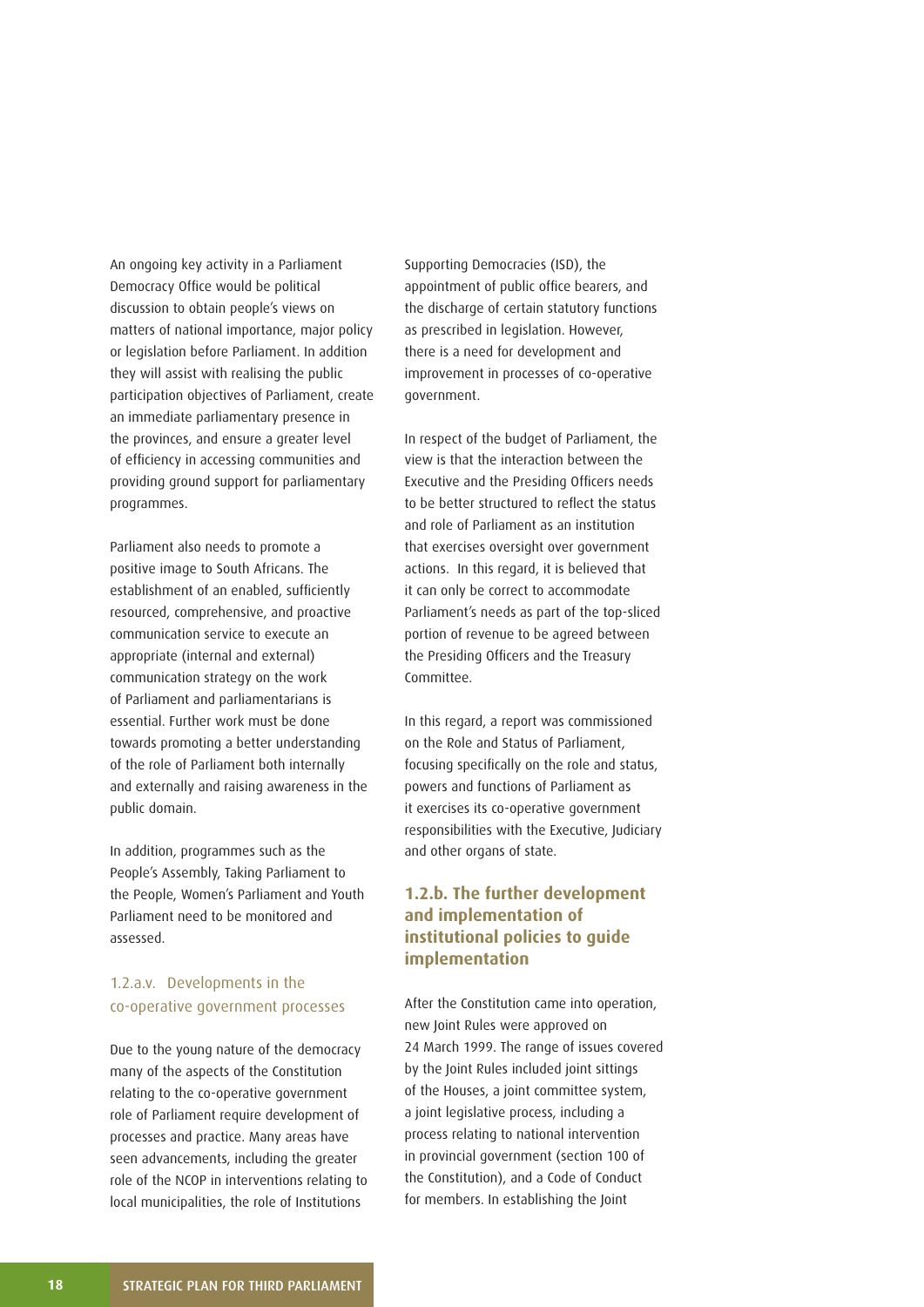An ongoing key activity in a Parliament Democracy Office would be political discussion to obtain people's views on matters of national importance, major policy or legislation before Parliament. In addition they will assist with realising the public participation objectives of Parliament, create an immediate parliamentary presence in the provinces, and ensure a greater level of efficiency in accessing communities and providing ground support for parliamentary programmes.

Parliament also needs to promote a positive image to South Africans. The establishment of an enabled, sufficiently resourced, comprehensive, and proactive communication service to execute an appropriate (internal and external) communication strategy on the work of Parliament and parliamentarians is essential. Further work must be done towards promoting a better understanding of the role of Parliament both internally and externally and raising awareness in the public domain.

In addition, programmes such as the People's Assembly, Taking Parliament to the People, Women's Parliament and Youth Parliament need to be monitored and assessed.

## 1.2.a.v. Developments in the co-operative government processes

Due to the young nature of the democracy many of the aspects of the Constitution relating to the co-operative government role of Parliament require development of processes and practice. Many areas have seen advancements, including the greater role of the NCOP in interventions relating to local municipalities, the role of Institutions

Supporting Democracies (ISD), the appointment of public office bearers, and the discharge of certain statutory functions as prescribed in legislation. However, there is a need for development and improvement in processes of co-operative government.

In respect of the budget of Parliament, the view is that the interaction between the Executive and the Presiding Officers needs to be better structured to reflect the status and role of Parliament as an institution that exercises oversight over government actions. In this regard, it is believed that it can only be correct to accommodate Parliament's needs as part of the top-sliced portion of revenue to be agreed between the Presiding Officers and the Treasury Committee.

In this regard, a report was commissioned on the Role and Status of Parliament, focusing specifically on the role and status, powers and functions of Parliament as it exercises its co-operative government responsibilities with the Executive, Judiciary and other organs of state.

## **1.2.b. The further development and implementation of institutional policies to guide implementation**

After the Constitution came into operation, new Joint Rules were approved on 24 March 1999. The range of issues covered by the Joint Rules included joint sittings of the Houses, a joint committee system, a joint legislative process, including a process relating to national intervention in provincial government (section 100 of the Constitution), and a Code of Conduct for members. In establishing the Joint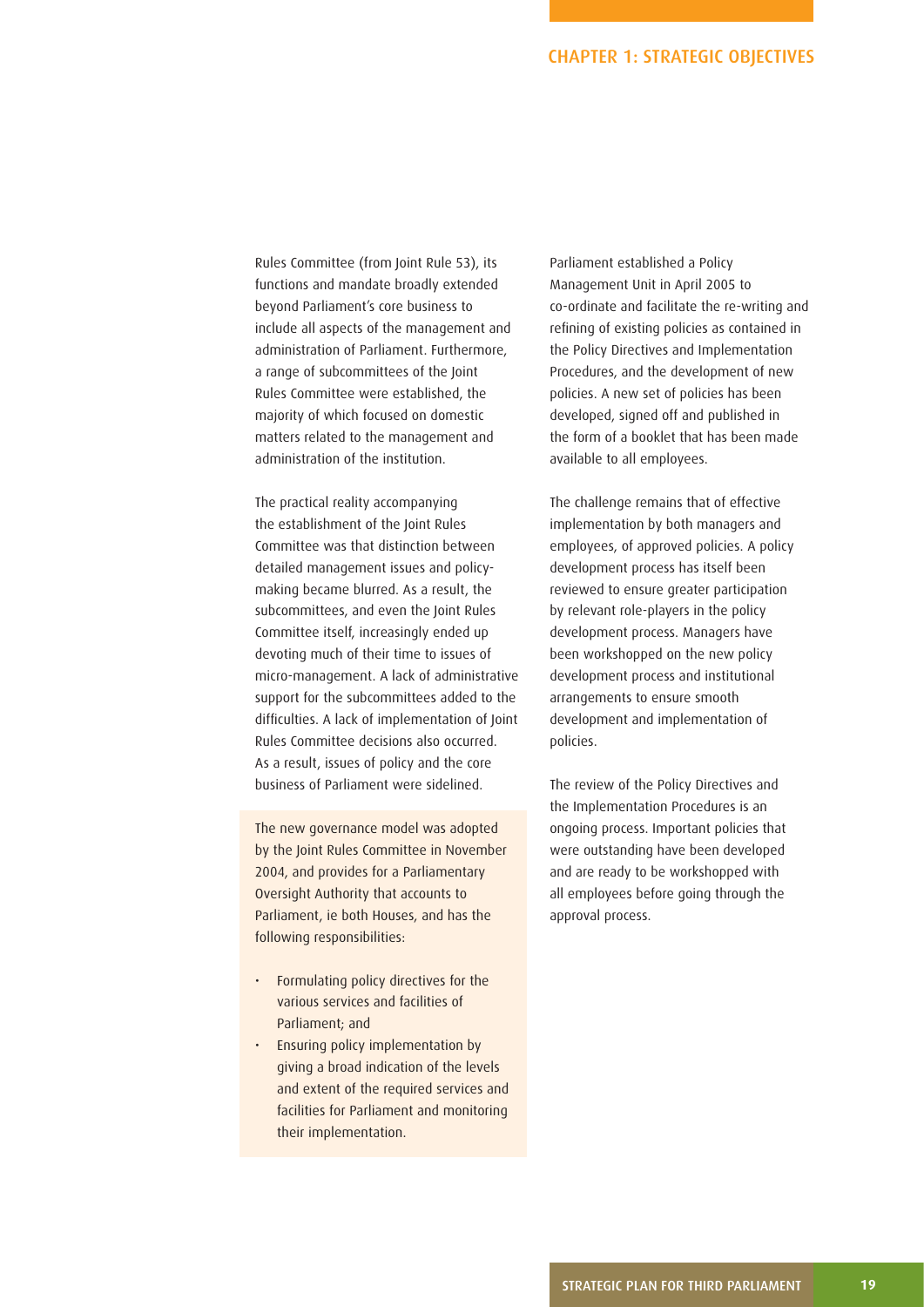Rules Committee (from Joint Rule 53), its functions and mandate broadly extended beyond Parliament's core business to include all aspects of the management and administration of Parliament. Furthermore, a range of subcommittees of the Joint Rules Committee were established, the majority of which focused on domestic matters related to the management and administration of the institution.

The practical reality accompanying the establishment of the Joint Rules Committee was that distinction between detailed management issues and policymaking became blurred. As a result, the subcommittees, and even the Joint Rules Committee itself, increasingly ended up devoting much of their time to issues of micro-management. A lack of administrative support for the subcommittees added to the difficulties. A lack of implementation of Joint Rules Committee decisions also occurred. As a result, issues of policy and the core business of Parliament were sidelined.

The new governance model was adopted by the Joint Rules Committee in November 2004, and provides for a Parliamentary Oversight Authority that accounts to Parliament, ie both Houses, and has the following responsibilities:

- Formulating policy directives for the various services and facilities of Parliament; and
- Ensuring policy implementation by giving a broad indication of the levels and extent of the required services and facilities for Parliament and monitoring their implementation.

Parliament established a Policy Management Unit in April 2005 to co-ordinate and facilitate the re-writing and refining of existing policies as contained in the Policy Directives and Implementation Procedures, and the development of new policies. A new set of policies has been developed, signed off and published in the form of a booklet that has been made available to all employees.

The challenge remains that of effective implementation by both managers and employees, of approved policies. A policy development process has itself been reviewed to ensure greater participation by relevant role-players in the policy development process. Managers have been workshopped on the new policy development process and institutional arrangements to ensure smooth development and implementation of policies.

The review of the Policy Directives and the Implementation Procedures is an ongoing process. Important policies that were outstanding have been developed and are ready to be workshopped with all employees before going through the approval process.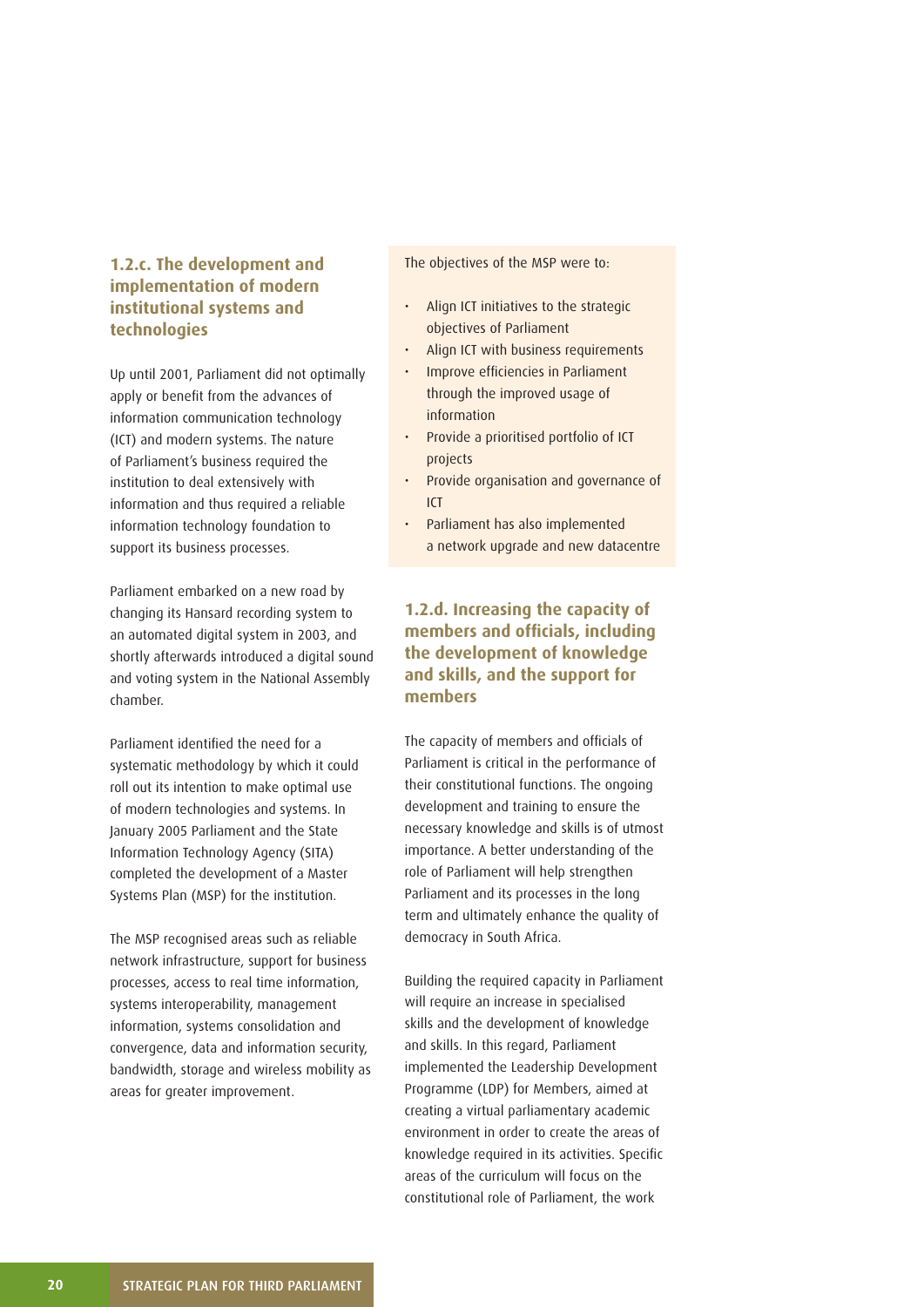## **1.2.c. The development and implementation of modern institutional systems and technologies**

Up until 2001, Parliament did not optimally apply or benefit from the advances of information communication technology (ICT) and modern systems. The nature of Parliament's business required the institution to deal extensively with information and thus required a reliable information technology foundation to support its business processes.

Parliament embarked on a new road by changing its Hansard recording system to an automated digital system in 2003, and shortly afterwards introduced a digital sound and voting system in the National Assembly chamber.

Parliament identified the need for a systematic methodology by which it could roll out its intention to make optimal use of modern technologies and systems. In January 2005 Parliament and the State Information Technology Agency (SITA) completed the development of a Master Systems Plan (MSP) for the institution.

The MSP recognised areas such as reliable network infrastructure, support for business processes, access to real time information, systems interoperability, management information, systems consolidation and convergence, data and information security, bandwidth, storage and wireless mobility as areas for greater improvement.

The objectives of the MSP were to:

- Align ICT initiatives to the strategic objectives of Parliament
- Align ICT with business requirements
- Improve efficiencies in Parliament through the improved usage of information
- Provide a prioritised portfolio of ICT projects
- Provide organisation and governance of ICT
- Parliament has also implemented a network upgrade and new datacentre

## **1.2.d. Increasing the capacity of members and officials, including the development of knowledge and skills, and the support for members**

The capacity of members and officials of Parliament is critical in the performance of their constitutional functions. The ongoing development and training to ensure the necessary knowledge and skills is of utmost importance. A better understanding of the role of Parliament will help strengthen Parliament and its processes in the long term and ultimately enhance the quality of democracy in South Africa.

Building the required capacity in Parliament will require an increase in specialised skills and the development of knowledge and skills. In this regard, Parliament implemented the Leadership Development Programme (LDP) for Members, aimed at creating a virtual parliamentary academic environment in order to create the areas of knowledge required in its activities. Specific areas of the curriculum will focus on the constitutional role of Parliament, the work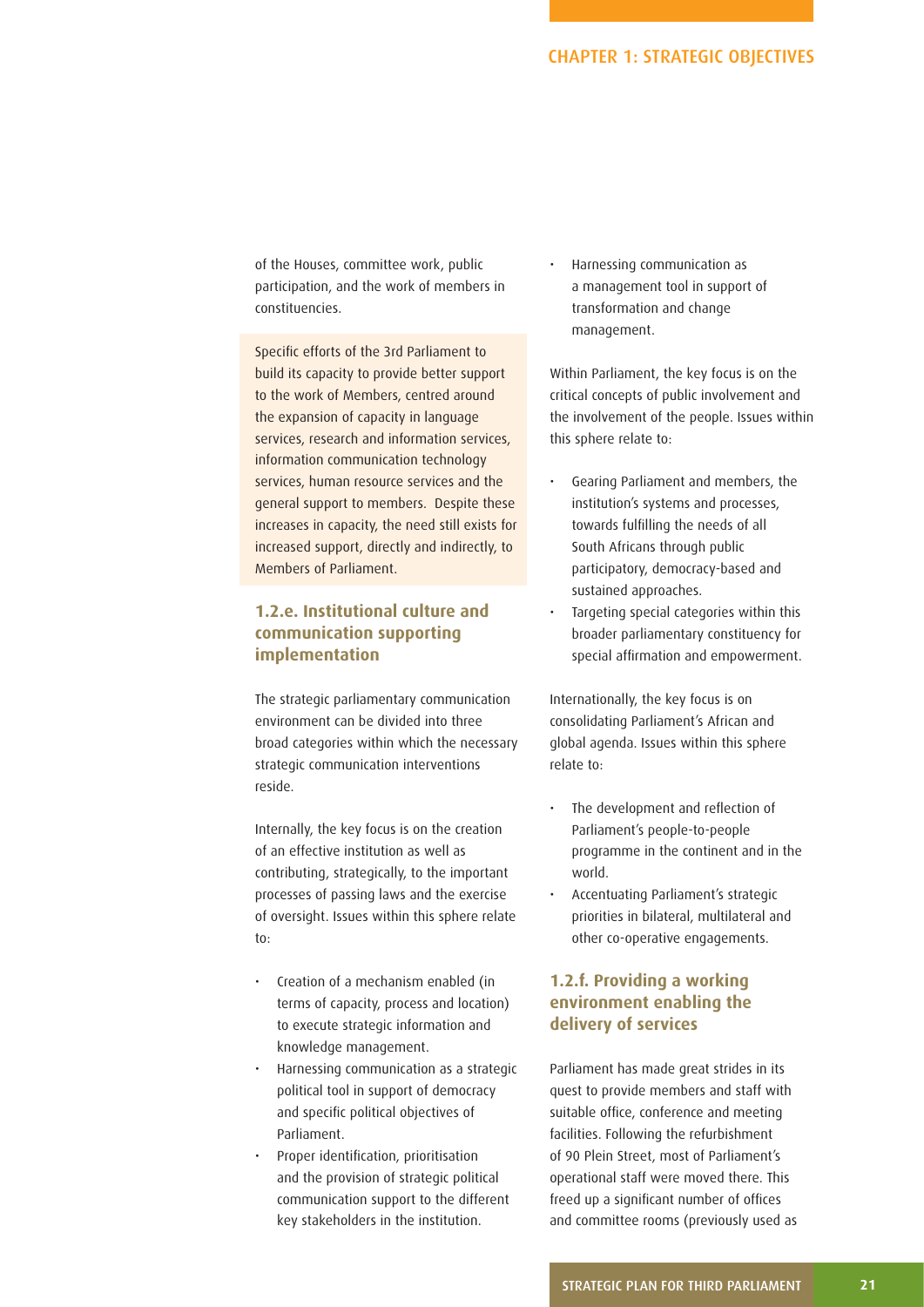of the Houses, committee work, public participation, and the work of members in constituencies.

Specific efforts of the 3rd Parliament to build its capacity to provide better support to the work of Members, centred around the expansion of capacity in language services, research and information services, information communication technology services, human resource services and the general support to members. Despite these increases in capacity, the need still exists for increased support, directly and indirectly, to Members of Parliament.

## **1.2.e. Institutional culture and communication supporting implementation**

The strategic parliamentary communication environment can be divided into three broad categories within which the necessary strategic communication interventions reside.

Internally, the key focus is on the creation of an effective institution as well as contributing, strategically, to the important processes of passing laws and the exercise of oversight. Issues within this sphere relate to:

- Creation of a mechanism enabled (in terms of capacity, process and location) to execute strategic information and knowledge management.
- Harnessing communication as a strategic political tool in support of democracy and specific political objectives of Parliament.
- Proper identification, prioritisation and the provision of strategic political communication support to the different key stakeholders in the institution.

• Harnessing communication as a management tool in support of transformation and change management.

Within Parliament, the key focus is on the critical concepts of public involvement and the involvement of the people. Issues within this sphere relate to:

- Gearing Parliament and members, the institution's systems and processes, towards fulfilling the needs of all South Africans through public participatory, democracy-based and sustained approaches.
- Targeting special categories within this broader parliamentary constituency for special affirmation and empowerment.

Internationally, the key focus is on consolidating Parliament's African and global agenda. Issues within this sphere relate to:

- The development and reflection of Parliament's people-to-people programme in the continent and in the world.
- Accentuating Parliament's strategic priorities in bilateral, multilateral and other co-operative engagements.

## **1.2.f. Providing a working environment enabling the delivery of services**

Parliament has made great strides in its quest to provide members and staff with suitable office, conference and meeting facilities. Following the refurbishment of 90 Plein Street, most of Parliament's operational staff were moved there. This freed up a significant number of offices and committee rooms (previously used as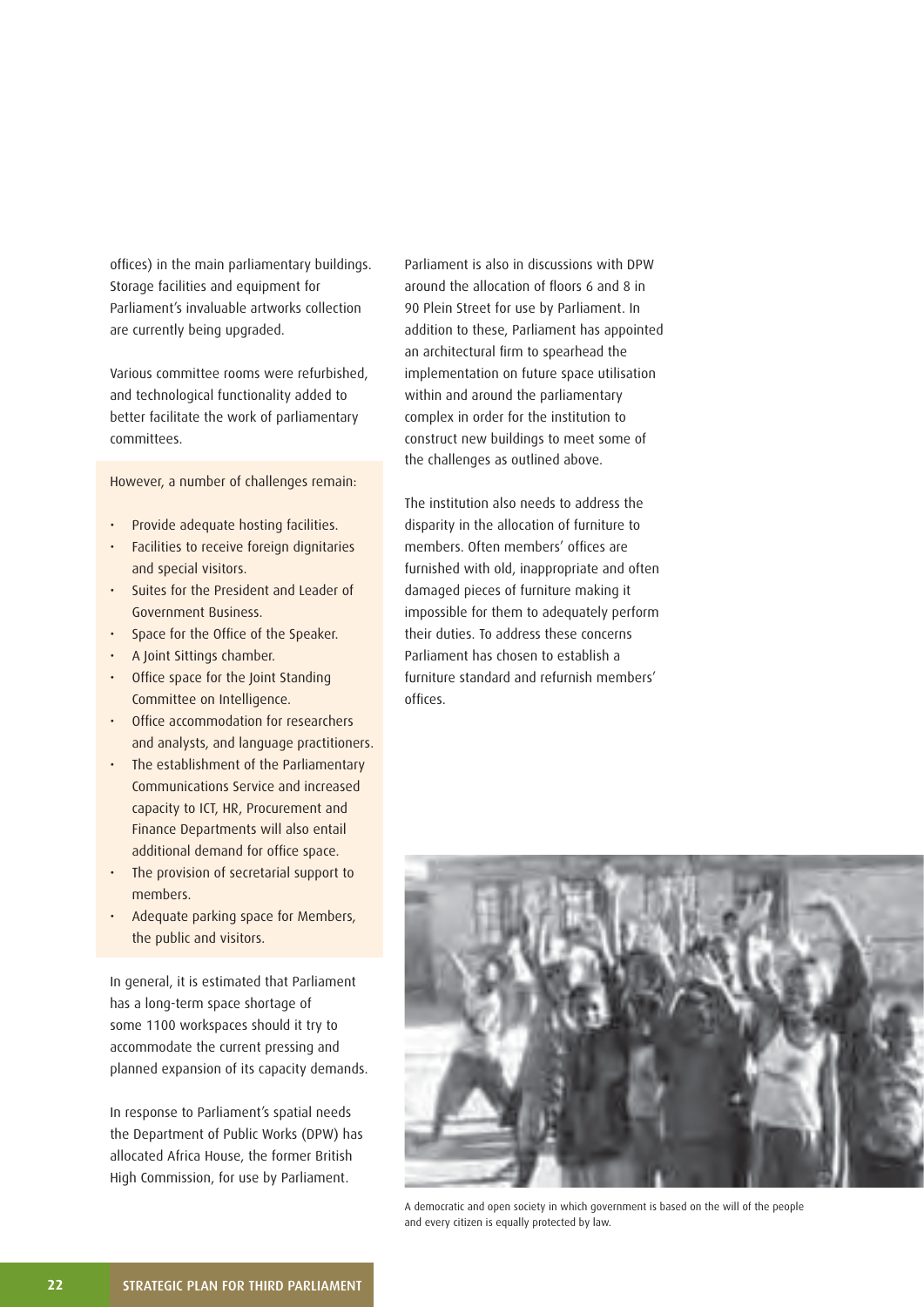offices) in the main parliamentary buildings. Storage facilities and equipment for Parliament's invaluable artworks collection are currently being upgraded.

Various committee rooms were refurbished, and technological functionality added to better facilitate the work of parliamentary committees.

However, a number of challenges remain:

- Provide adequate hosting facilities.
- Facilities to receive foreign dignitaries and special visitors.
- Suites for the President and Leader of Government Business.
- Space for the Office of the Speaker.
- A Joint Sittings chamber.
- Office space for the Joint Standing Committee on Intelligence.
- Office accommodation for researchers and analysts, and language practitioners.
- The establishment of the Parliamentary Communications Service and increased capacity to ICT, HR, Procurement and Finance Departments will also entail additional demand for office space.
- The provision of secretarial support to members.
- Adequate parking space for Members, the public and visitors.

In general, it is estimated that Parliament has a long-term space shortage of some 1100 workspaces should it try to accommodate the current pressing and planned expansion of its capacity demands.

In response to Parliament's spatial needs the Department of Public Works (DPW) has allocated Africa House, the former British High Commission, for use by Parliament.

Parliament is also in discussions with DPW around the allocation of floors 6 and 8 in 90 Plein Street for use by Parliament. In addition to these, Parliament has appointed an architectural firm to spearhead the implementation on future space utilisation within and around the parliamentary complex in order for the institution to construct new buildings to meet some of the challenges as outlined above.

The institution also needs to address the disparity in the allocation of furniture to members. Often members' offices are furnished with old, inappropriate and often damaged pieces of furniture making it impossible for them to adequately perform their duties. To address these concerns Parliament has chosen to establish a furniture standard and refurnish members' offices



A democratic and open society in which government is based on the will of the people and every citizen is equally protected by law.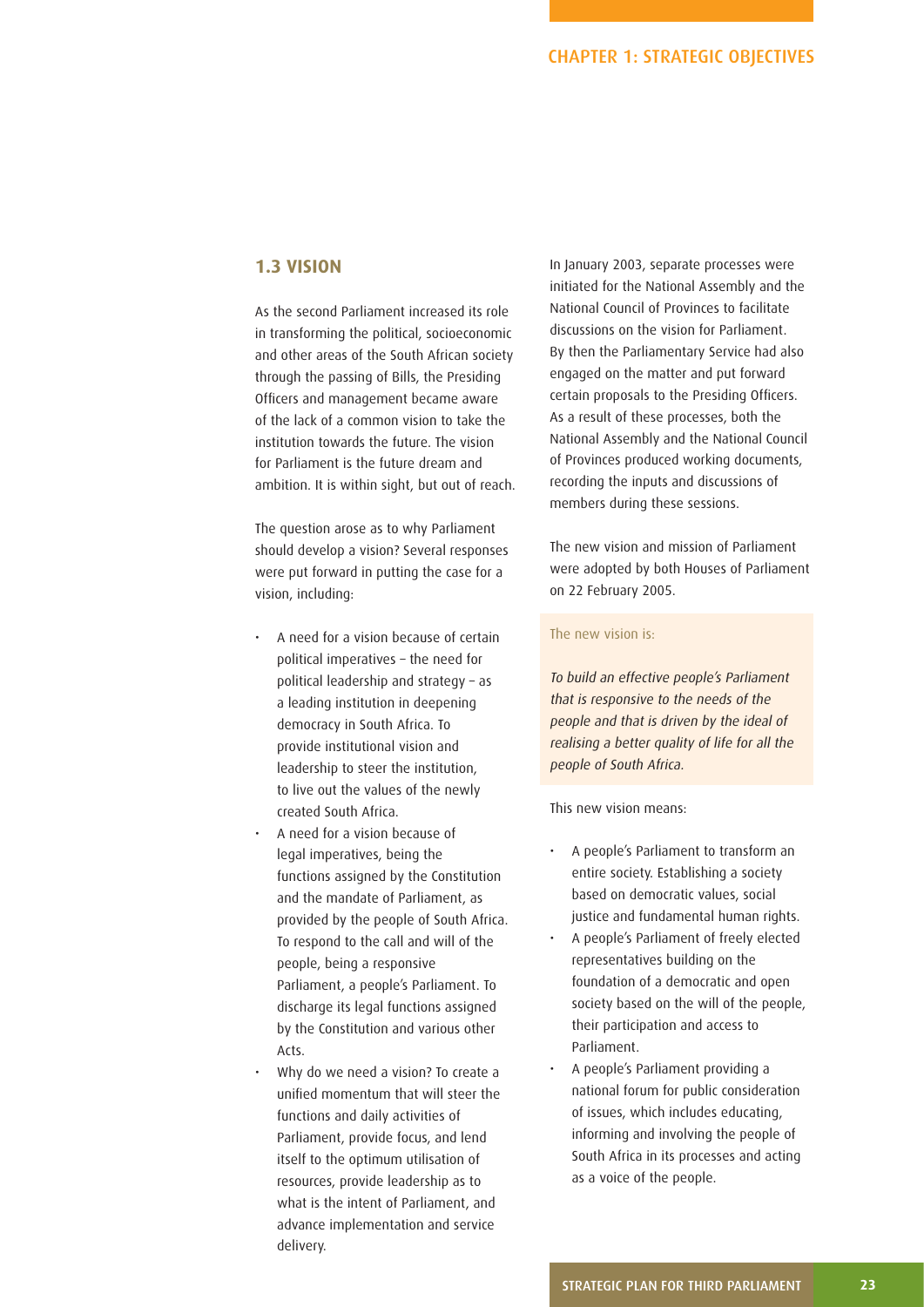### **1.3 VISION**

As the second Parliament increased its role in transforming the political, socioeconomic and other areas of the South African society through the passing of Bills, the Presiding Officers and management became aware of the lack of a common vision to take the institution towards the future. The vision for Parliament is the future dream and ambition. It is within sight, but out of reach.

The question arose as to why Parliament should develop a vision? Several responses were put forward in putting the case for a vision, including:

- A need for a vision because of certain political imperatives – the need for political leadership and strategy – as a leading institution in deepening democracy in South Africa. To provide institutional vision and leadership to steer the institution, to live out the values of the newly created South Africa.
- A need for a vision because of legal imperatives, being the functions assigned by the Constitution and the mandate of Parliament, as provided by the people of South Africa. To respond to the call and will of the people, being a responsive Parliament, a people's Parliament. To discharge its legal functions assigned by the Constitution and various other Acts.
- Why do we need a vision? To create a unified momentum that will steer the functions and daily activities of Parliament, provide focus, and lend itself to the optimum utilisation of resources, provide leadership as to what is the intent of Parliament, and advance implementation and service delivery.

In January 2003, separate processes were initiated for the National Assembly and the National Council of Provinces to facilitate discussions on the vision for Parliament. By then the Parliamentary Service had also engaged on the matter and put forward certain proposals to the Presiding Officers. As a result of these processes, both the National Assembly and the National Council of Provinces produced working documents, recording the inputs and discussions of members during these sessions.

The new vision and mission of Parliament were adopted by both Houses of Parliament on 22 February 2005.

#### The new vision is:

To build an effective people's Parliament that is responsive to the needs of the people and that is driven by the ideal of realising a better quality of life for all the people of South Africa.

This new vision means:

- A people's Parliament to transform an entire society. Establishing a society based on democratic values, social justice and fundamental human rights.
- A people's Parliament of freely elected representatives building on the foundation of a democratic and open society based on the will of the people, their participation and access to Parliament.
- A people's Parliament providing a national forum for public consideration of issues, which includes educating, informing and involving the people of South Africa in its processes and acting as a voice of the people.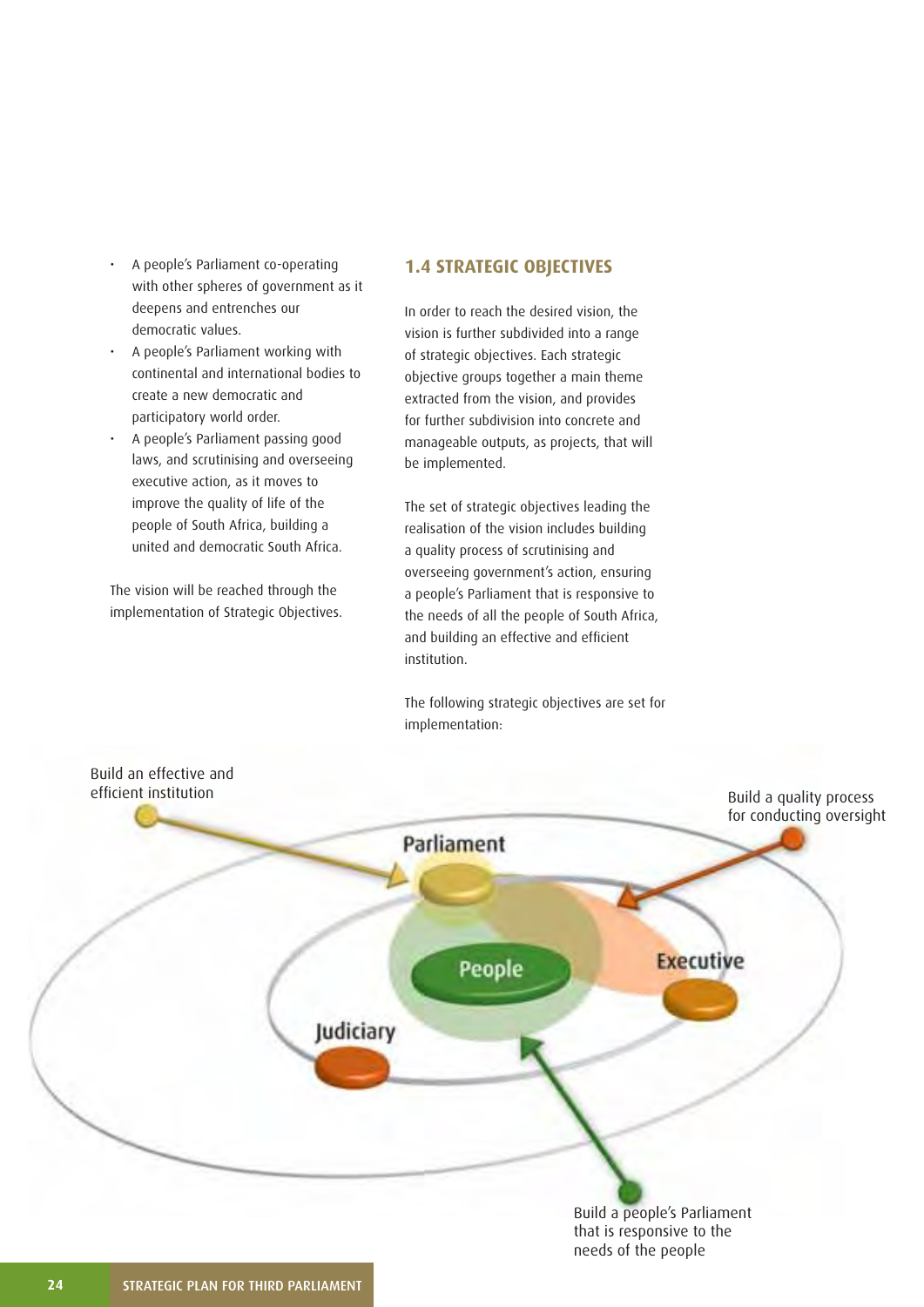- A people's Parliament co-operating with other spheres of government as it deepens and entrenches our democratic values.
- A people's Parliament working with continental and international bodies to create a new democratic and participatory world order.
- A people's Parliament passing good laws, and scrutinising and overseeing executive action, as it moves to improve the quality of life of the people of South Africa, building a united and democratic South Africa.

The vision will be reached through the implementation of Strategic Objectives.

## **1.4 STRATEGIC OBJECTIVES**

In order to reach the desired vision, the vision is further subdivided into a range of strategic objectives. Each strategic objective groups together a main theme extracted from the vision, and provides for further subdivision into concrete and manageable outputs, as projects, that will be implemented.

The set of strategic objectives leading the realisation of the vision includes building a quality process of scrutinising and overseeing government's action, ensuring a people's Parliament that is responsive to the needs of all the people of South Africa, and building an effective and efficient institution.

The following strategic objectives are set for implementation:

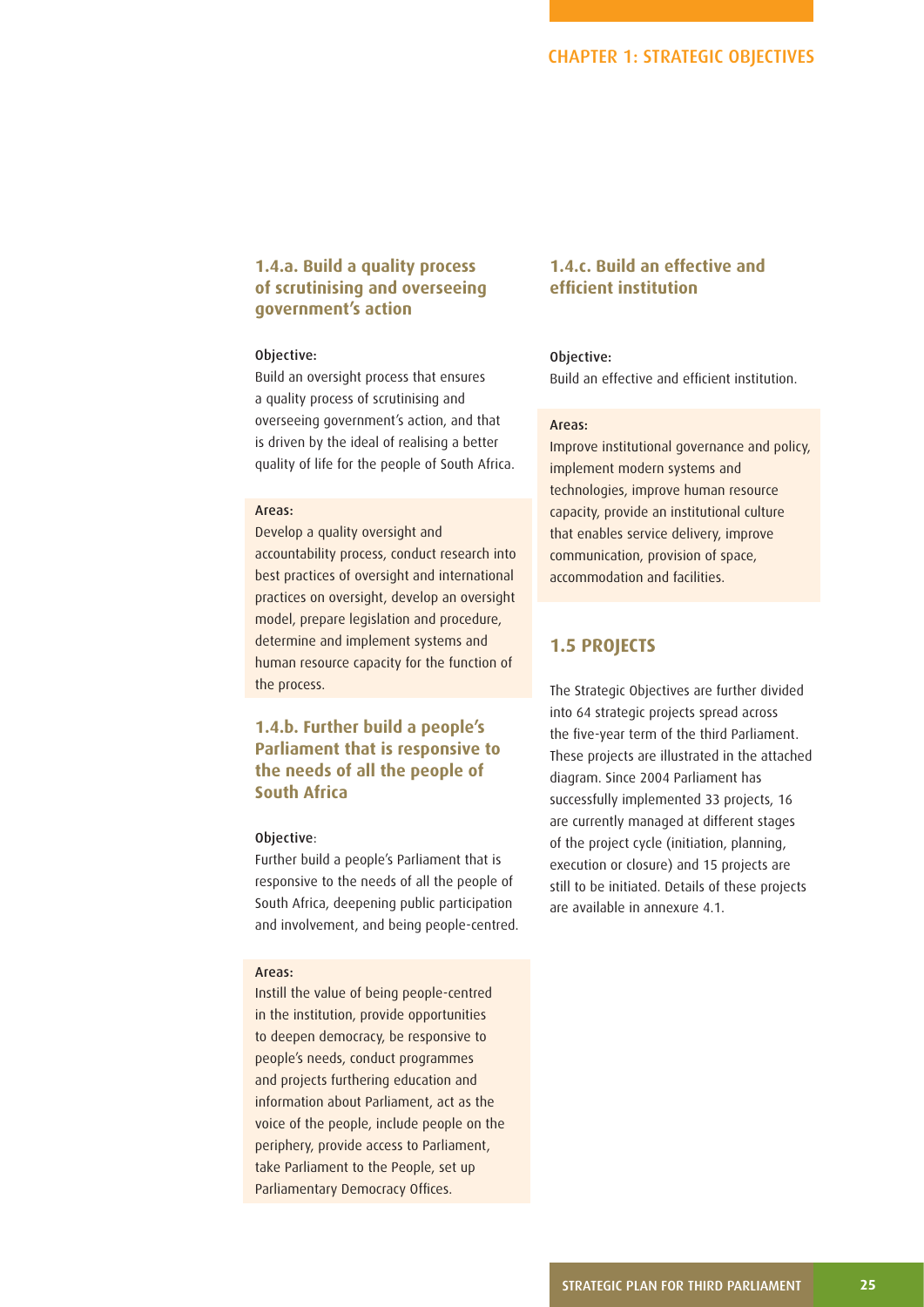## **1.4.a. Build a quality process of scrutinising and overseeing government's action**

#### Objective:

Build an oversight process that ensures a quality process of scrutinising and overseeing government's action, and that is driven by the ideal of realising a better quality of life for the people of South Africa.

#### Areas:

Develop a quality oversight and accountability process, conduct research into best practices of oversight and international practices on oversight, develop an oversight model, prepare legislation and procedure, determine and implement systems and human resource capacity for the function of the process.

## **1.4.b. Further build a people's Parliament that is responsive to the needs of all the people of South Africa**

#### Objective:

Further build a people's Parliament that is responsive to the needs of all the people of South Africa, deepening public participation and involvement, and being people-centred.

#### Areas:

Instill the value of being people-centred in the institution, provide opportunities to deepen democracy, be responsive to people's needs, conduct programmes and projects furthering education and information about Parliament, act as the voice of the people, include people on the periphery, provide access to Parliament, take Parliament to the People, set up Parliamentary Democracy Offices.

## **1.4.c. Build an effective and effi cient institution**

#### Objective:

Build an effective and efficient institution.

#### Areas:

Improve institutional governance and policy, implement modern systems and technologies, improve human resource capacity, provide an institutional culture that enables service delivery, improve communication, provision of space, accommodation and facilities.

### **1.5 PROJECTS**

The Strategic Objectives are further divided into 64 strategic projects spread across the five-year term of the third Parliament. These projects are illustrated in the attached diagram. Since 2004 Parliament has successfully implemented 33 projects, 16 are currently managed at different stages of the project cycle (initiation, planning, execution or closure) and 15 projects are still to be initiated. Details of these projects are available in annexure 4.1.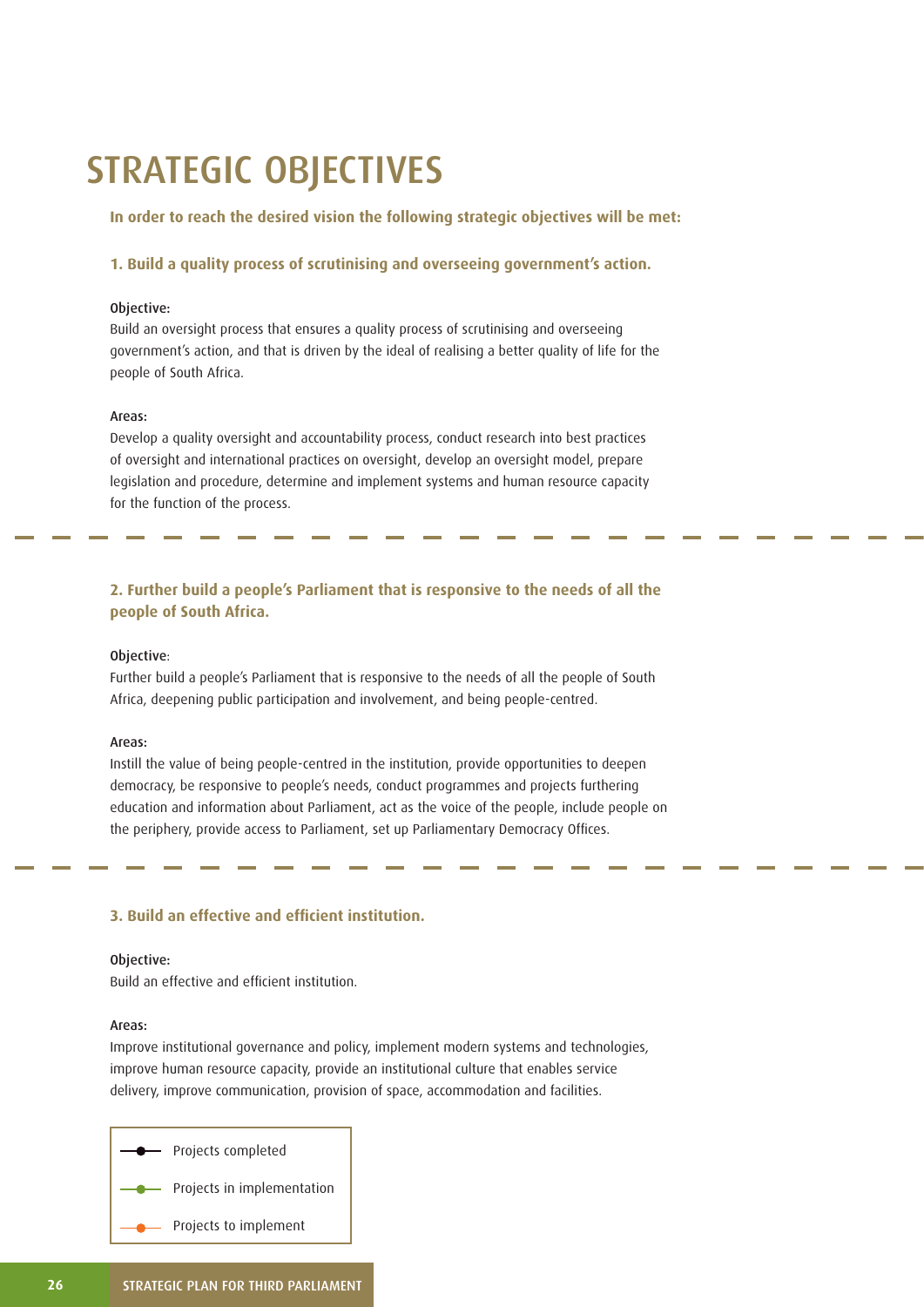## STRATEGIC OBJECTIVES

**In order to reach the desired vision the following strategic objectives will be met:**

**1. Build a quality process of scrutinising and overseeing government's action.**

#### Objective:

Build an oversight process that ensures a quality process of scrutinising and overseeing government's action, and that is driven by the ideal of realising a better quality of life for the people of South Africa.

#### Areas:

Develop a quality oversight and accountability process, conduct research into best practices of oversight and international practices on oversight, develop an oversight model, prepare legislation and procedure, determine and implement systems and human resource capacity for the function of the process.

## **2. Further build a people's Parliament that is responsive to the needs of all the people of South Africa.**

#### Objective:

Further build a people's Parliament that is responsive to the needs of all the people of South Africa, deepening public participation and involvement, and being people-centred.

#### Areas:

Instill the value of being people-centred in the institution, provide opportunities to deepen democracy, be responsive to people's needs, conduct programmes and projects furthering education and information about Parliament, act as the voice of the people, include people on the periphery, provide access to Parliament, set up Parliamentary Democracy Offices.

#### **3. Build an effective and efficient institution.**

#### Objective:

Build an effective and efficient institution.

#### Areas:

Improve institutional governance and policy, implement modern systems and technologies, improve human resource capacity, provide an institutional culture that enables service delivery, improve communication, provision of space, accommodation and facilities.

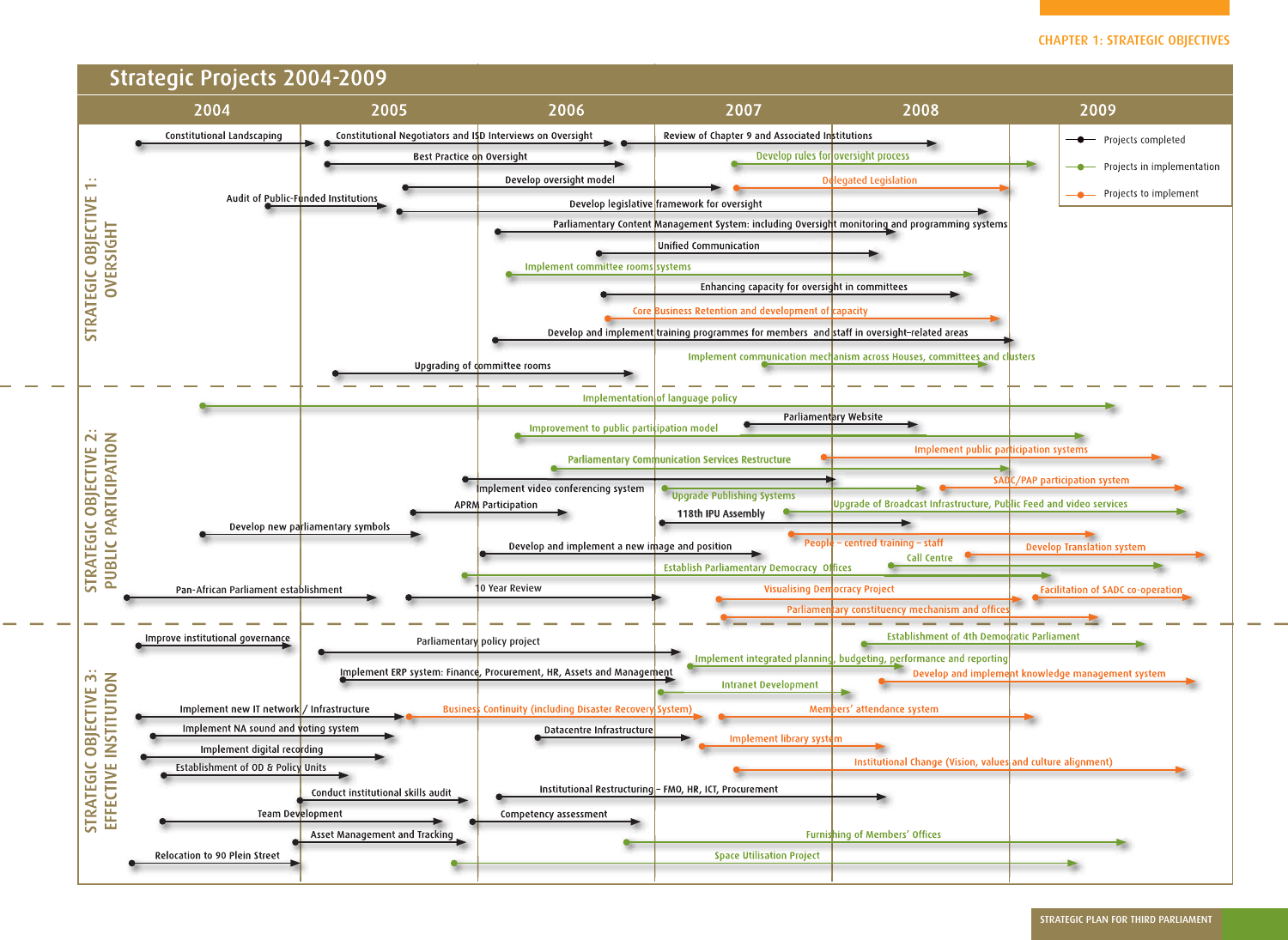

| 2009                               |                                                |
|------------------------------------|------------------------------------------------|
|                                    | Projects completed                             |
|                                    | Projects in implementation                     |
|                                    | Projects to implement                          |
| IS                                 |                                                |
|                                    |                                                |
|                                    |                                                |
|                                    |                                                |
|                                    |                                                |
| clusters                           |                                                |
|                                    |                                                |
|                                    |                                                |
|                                    |                                                |
| ar <mark>ticipation systems</mark> |                                                |
|                                    | <b>.0C/PAP participation system</b>            |
|                                    | utic Feed and video services                   |
|                                    |                                                |
|                                    | <b>Develop Translation system</b>              |
|                                    | Facilitation of SADC co-operation              |
|                                    |                                                |
| odratic Parliament                 |                                                |
| g                                  | ie <mark>nt knowledge management system</mark> |
|                                    |                                                |
|                                    |                                                |
|                                    |                                                |
| saand culture alignment)           |                                                |
|                                    |                                                |
|                                    |                                                |
|                                    |                                                |
|                                    |                                                |